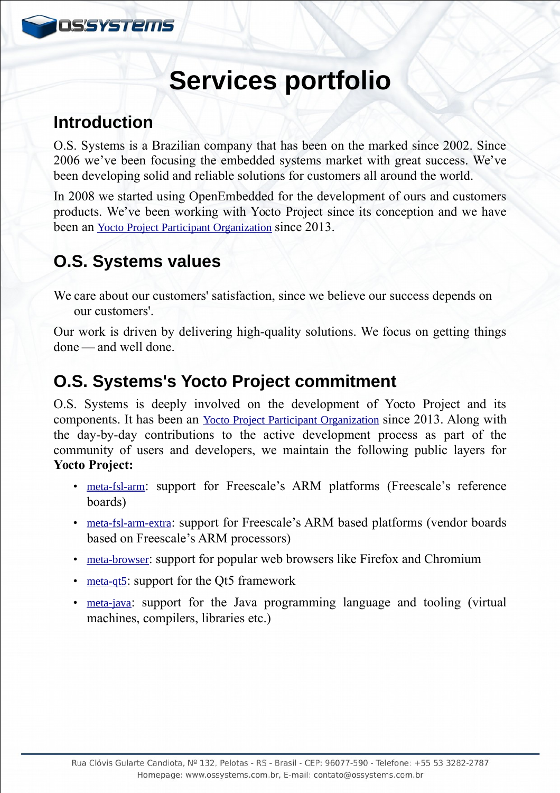

# **Services portfolio**

## **Introduction**

O.S. Systems is a Brazilian company that has been on the marked since 2002. Since 2006 we've been focusing the embedded systems market with great success. We've been developing solid and reliable solutions for customers all around the world.

In 2008 we started using OpenEmbedded for the development of ours and customers products. We've been working with Yocto Project since its conception and we have been an [Yocto Project Participant Organization](https://www.yoctoproject.org/organization/os-systems) since 2013.

# **O.S. Systems values**

We care about our customers' satisfaction, since we believe our success depends on our customers'.

Our work is driven by delivering high-quality solutions. We focus on getting things done — and well done.    

## **O.S. Systems's Yocto Project commitment**

O.S. Systems is deeply involved on the development of Yocto Project and its components. It has been an [Yocto Project Participant Organization](https://www.yoctoproject.org/organization/os-systems) since 2013. Along with the day-by-day contributions to the active development process as part of the community of users and developers, we maintain the following public layers for **Yocto Project:**

- [meta-fsl-arm](http://git.yoctoproject.org/cgit/cgit.cgi/meta-fsl-arm): support for Freescale's ARM platforms (Freescale's reference boards)
- [meta-fsl-arm-extra](https://github.com/Freescale/meta-fsl-arm-extra): support for Freescale's ARM based platforms (vendor boards based on Freescale's ARM processors)
- [meta-browser](https://github.com/OSSystems/meta-browser): support for popular web browsers like Firefox and Chromium
- [meta-qt5](https://github.com/meta-qt5/meta-qt5): support for the Qt5 framework
- [meta-java](http://git.yoctoproject.org/cgit/cgit.cgi/meta-java): support for the Java programming language and tooling (virtual machines, compilers, libraries etc.)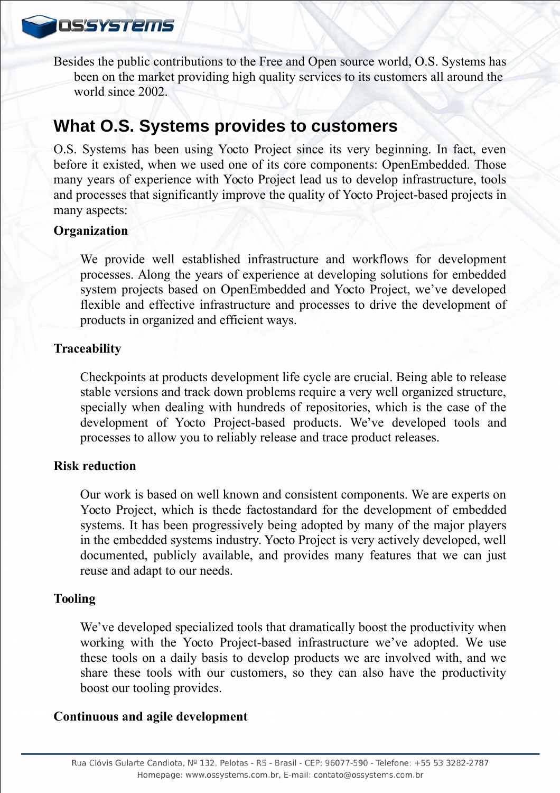**OSSYSTEMS** 

Besides the public contributions to the Free and Open source world, O.S. Systems has been on the market providing high quality services to its customers all around the world since 2002.

### **What O.S. Systems provides to customers**

O.S. Systems has been using Yocto Project since its very beginning. In fact, even before it existed, when we used one of its core components: OpenEmbedded. Those many years of experience with Yocto Project lead us to develop infrastructure, tools and processes that significantly improve the quality of Yocto Project-based projects in many aspects:

#### **Organization**

We provide well established infrastructure and workflows for development processes. Along the years of experience at developing solutions for embedded system projects based on OpenEmbedded and Yocto Project, we've developed flexible and effective infrastructure and processes to drive the development of products in organized and efficient ways.

#### **Traceability**

Checkpoints at products development life cycle are crucial. Being able to release stable versions and track down problems require a very well organized structure, specially when dealing with hundreds of repositories, which is the case of the development of Yocto Project-based products. We've developed tools and processes to allow you to reliably release and trace product releases.

#### **Risk reduction**

Our work is based on well known and consistent components. We are experts on Yocto Project, which is thede factostandard for the development of embedded systems. It has been progressively being adopted by many of the major players in the embedded systems industry. Yocto Project is very actively developed, well documented, publicly available, and provides many features that we can just reuse and adapt to our needs.

#### **Tooling**

We've developed specialized tools that dramatically boost the productivity when working with the Yocto Project-based infrastructure we've adopted. We use these tools on a daily basis to develop products we are involved with, and we share these tools with our customers, so they can also have the productivity boost our tooling provides.

#### **Continuous and agile development**